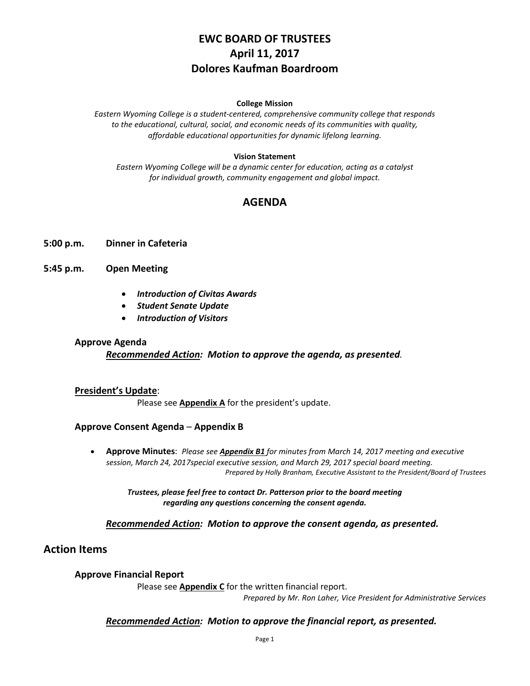# **EWC BOARD OF TRUSTEES April 11, 2017 Dolores Kaufman Boardroom**

#### **College Mission**

*Eastern Wyoming College is a student-centered, comprehensive community college that responds to the educational, cultural, social, and economic needs of its communities with quality, affordable educational opportunities for dynamic lifelong learning.*

### **Vision Statement**

*Eastern Wyoming College will be a dynamic center for education, acting as a catalyst for individual growth, community engagement and global impact.*

# **AGENDA**

### **5:00 p.m. Dinner in Cafeteria**

**5:45 p.m. Open Meeting**

- *Introduction of Civitas Awards*
- *Student Senate Update*
- *Introduction of Visitors*

#### **Approve Agenda**

*Recommended Action: Motion to approve the agenda, as presented.*

### **President's Update**:

Please see **Appendix A** for the president's update.

### **Approve Consent Agenda** – **Appendix B**

• **Approve Minutes**: *Please see Appendix B1 for minutes from March 14, 2017 meeting and executive session, March 24, 2017special executive session, and March 29, 2017 special board meeting. Prepared by Holly Branham, Executive Assistant to the President/Board of Trustees*

*Trustees, please feel free to contact Dr. Patterson prior to the board meeting regarding any questions concerning the consent agenda.*

### *Recommended Action: Motion to approve the consent agenda, as presented.*

# **Action Items**

### **Approve Financial Report**

Please see **Appendix C** for the written financial report.

*Prepared by Mr. Ron Laher, Vice President for Administrative Services*

### *Recommended Action: Motion to approve the financial report, as presented.*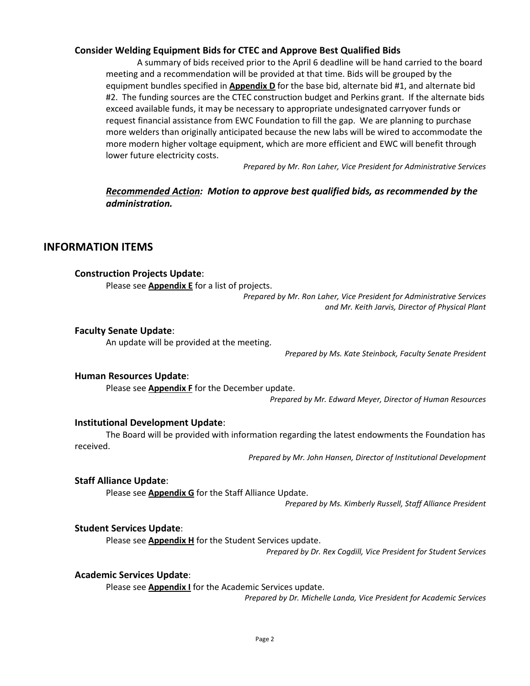### **Consider Welding Equipment Bids for CTEC and Approve Best Qualified Bids**

A summary of bids received prior to the April 6 deadline will be hand carried to the board meeting and a recommendation will be provided at that time. Bids will be grouped by the equipment bundles specified in **Appendix D** for the base bid, alternate bid #1, and alternate bid #2. The funding sources are the CTEC construction budget and Perkins grant. If the alternate bids exceed available funds, it may be necessary to appropriate undesignated carryover funds or request financial assistance from EWC Foundation to fill the gap. We are planning to purchase more welders than originally anticipated because the new labs will be wired to accommodate the more modern higher voltage equipment, which are more efficient and EWC will benefit through lower future electricity costs.

*Prepared by Mr. Ron Laher, Vice President for Administrative Services*

# *Recommended Action: Motion to approve best qualified bids, as recommended by the administration.*

### **INFORMATION ITEMS**

### **Construction Projects Update**:

Please see **Appendix E** for a list of projects.

*Prepared by Mr. Ron Laher, Vice President for Administrative Services and Mr. Keith Jarvis, Director of Physical Plant*

#### **Faculty Senate Update**:

An update will be provided at the meeting.

*Prepared by Ms. Kate Steinbock, Faculty Senate President*

#### **Human Resources Update**:

Please see **Appendix F** for the December update.

*Prepared by Mr. Edward Meyer, Director of Human Resources*

### **Institutional Development Update**:

The Board will be provided with information regarding the latest endowments the Foundation has received.

*Prepared by Mr. John Hansen, Director of Institutional Development*

### **Staff Alliance Update**:

Please see **Appendix G** for the Staff Alliance Update.

*Prepared by Ms. Kimberly Russell, Staff Alliance President* 

### **Student Services Update**:

Please see **Appendix H** for the Student Services update.

*Prepared by Dr. Rex Cogdill, Vice President for Student Services*

#### **Academic Services Update**:

Please see **Appendix I** for the Academic Services update.

*Prepared by Dr. Michelle Landa, Vice President for Academic Services*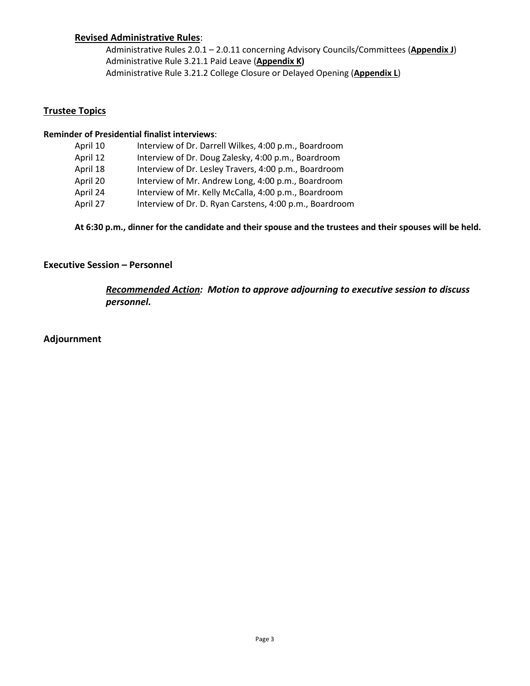## **Revised Administrative Rules**:

Administrative Rules 2.0.1 – 2.0.11 concerning Advisory Councils/Committees (**Appendix J**) Administrative Rule 3.21.1 Paid Leave (**Appendix K)** Administrative Rule 3.21.2 College Closure or Delayed Opening (**Appendix L**)

### **Trustee Topics**

### **Reminder of Presidential finalist interviews**:

| April 10 | Interview of Dr. Darrell Wilkes, 4:00 p.m., Boardroom   |
|----------|---------------------------------------------------------|
| April 12 | Interview of Dr. Doug Zalesky, 4:00 p.m., Boardroom     |
| April 18 | Interview of Dr. Lesley Travers, 4:00 p.m., Boardroom   |
| April 20 | Interview of Mr. Andrew Long, 4:00 p.m., Boardroom      |
| April 24 | Interview of Mr. Kelly McCalla, 4:00 p.m., Boardroom    |
| April 27 | Interview of Dr. D. Ryan Carstens, 4:00 p.m., Boardroom |

**At 6:30 p.m., dinner for the candidate and their spouse and the trustees and their spouses will be held.** 

### **Executive Session – Personnel**

*Recommended Action: Motion to approve adjourning to executive session to discuss personnel.*

**Adjournment**